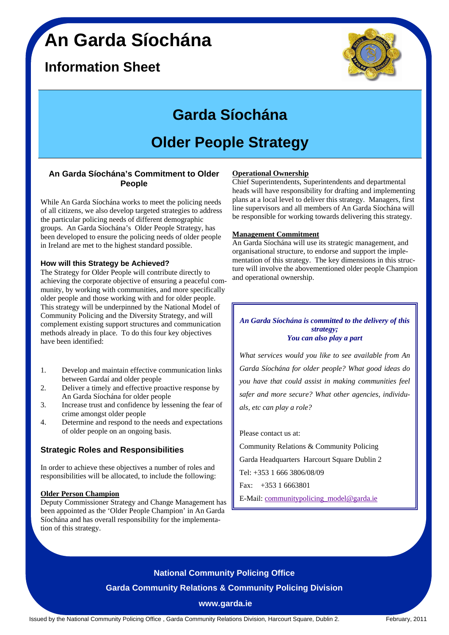# **An Garda Síochána**

## **Information Sheet**



# **Garda Síochána**

# **Older People Strategy**

### **An Garda Síochána's Commitment to Older People**

While An Garda Síochána works to meet the policing needs of all citizens, we also develop targeted strategies to address the particular policing needs of different demographic groups. An Garda Síochána's Older People Strategy, has been developed to ensure the policing needs of older people in Ireland are met to the highest standard possible.

### **How will this Strategy be Achieved?**

The Strategy for Older People will contribute directly to achieving the corporate objective of ensuring a peaceful community, by working with communities, and more specifically older people and those working with and for older people. This strategy will be underpinned by the National Model of Community Policing and the Diversity Strategy, and will complement existing support structures and communication methods already in place. To do this four key objectives have been identified:

- 1. Develop and maintain effective communication links between Gardaí and older people
- 2. Deliver a timely and effective proactive response by An Garda Síochána for older people
- 3. Increase trust and confidence by lessening the fear of crime amongst older people
- 4. Determine and respond to the needs and expectations of older people on an ongoing basis.

### **Strategic Roles and Responsibilities**

In order to achieve these objectives a number of roles and responsibilities will be allocated, to include the following:

### **Older Person Champion**

Deputy Commissioner Strategy and Change Management has been appointed as the 'Older People Champion' in An Garda Síochána and has overall responsibility for the implementation of this strategy.

### **Operational Ownership**

Chief Superintendents, Superintendents and departmental heads will have responsibility for drafting and implementing plans at a local level to deliver this strategy. Managers, first line supervisors and all members of An Garda Síochána will be responsible for working towards delivering this strategy.

### **Management Commitment**

An Garda Síochána will use its strategic management, and organisational structure, to endorse and support the implementation of this strategy. The key dimensions in this structure will involve the abovementioned older people Champion and operational ownership.

#### *An Garda Síochána is committed to the delivery of this strategy; You can also play a part*

*What services would you like to see available from An Garda Síochána for older people? What good ideas do you have that could assist in making communities feel safer and more secure? What other agencies, individuals, etc can play a role?* 

#### Please contact us at:

Community Relations & Community Policing Garda Headquarters Harcourt Square Dublin 2 Tel: +353 1 666 3806/08/09 Fax: +353 1 6663801

E-Mail: communitypolicing\_model@garda.ie

## **National Community Policing Office Garda Community Relations & Community Policing Division**

### **www.garda.ie**

Issued by the National Community Policing Office , Garda Community Relations Division, Harcourt Square, Dublin 2. February, 2011